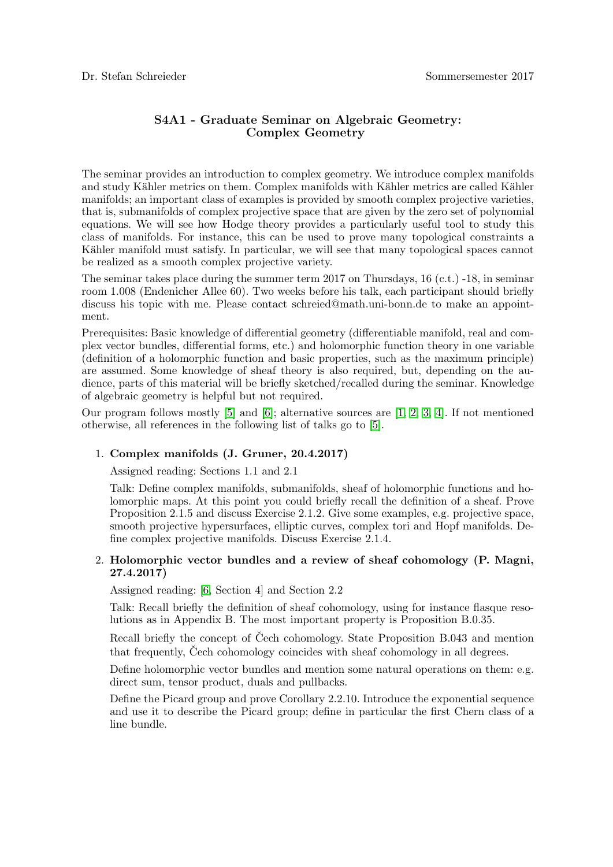# S4A1 - Graduate Seminar on Algebraic Geometry: Complex Geometry

The seminar provides an introduction to complex geometry. We introduce complex manifolds and study Kähler metrics on them. Complex manifolds with Kähler metrics are called Kähler manifolds; an important class of examples is provided by smooth complex projective varieties, that is, submanifolds of complex projective space that are given by the zero set of polynomial equations. We will see how Hodge theory provides a particularly useful tool to study this class of manifolds. For instance, this can be used to prove many topological constraints a Kähler manifold must satisfy. In particular, we will see that many topological spaces cannot be realized as a smooth complex projective variety.

The seminar takes place during the summer term 2017 on Thursdays,  $16$  (c.t.)  $-18$ , in seminar room 1.008 (Endenicher Allee 60). Two weeks before his talk, each participant should briefly discuss his topic with me. Please contact schreied@math.uni-bonn.de to make an appointment.

Prerequisites: Basic knowledge of differential geometry (differentiable manifold, real and complex vector bundles, differential forms, etc.) and holomorphic function theory in one variable (definition of a holomorphic function and basic properties, such as the maximum principle) are assumed. Some knowledge of sheaf theory is also required, but, depending on the audience, parts of this material will be briefly sketched/recalled during the seminar. Knowledge of algebraic geometry is helpful but not required.

Our program follows mostly [\[5\]](#page-4-0) and [\[6\]](#page-4-1); alternative sources are [\[1,](#page-3-0) [2,](#page-3-1) [3,](#page-3-2) [4\]](#page-3-3). If not mentioned otherwise, all references in the following list of talks go to [\[5\]](#page-4-0).

# 1. Complex manifolds (J. Gruner, 20.4.2017)

Assigned reading: Sections 1.1 and 2.1

Talk: Define complex manifolds, submanifolds, sheaf of holomorphic functions and holomorphic maps. At this point you could briefly recall the definition of a sheaf. Prove Proposition 2.1.5 and discuss Exercise 2.1.2. Give some examples, e.g. projective space, smooth projective hypersurfaces, elliptic curves, complex tori and Hopf manifolds. Define complex projective manifolds. Discuss Exercise 2.1.4.

# 2. Holomorphic vector bundles and a review of sheaf cohomology (P. Magni, 27.4.2017)

Assigned reading: [\[6,](#page-4-1) Section 4] and Section 2.2

Talk: Recall briefly the definition of sheaf cohomology, using for instance flasque resolutions as in Appendix B. The most important property is Proposition B.0.35.

Recall briefly the concept of Čech cohomology. State Proposition B.043 and mention that frequently, Cech cohomology coincides with sheaf cohomology in all degrees.

Define holomorphic vector bundles and mention some natural operations on them: e.g. direct sum, tensor product, duals and pullbacks.

Define the Picard group and prove Corollary 2.2.10. Introduce the exponential sequence and use it to describe the Picard group; define in particular the first Chern class of a line bundle.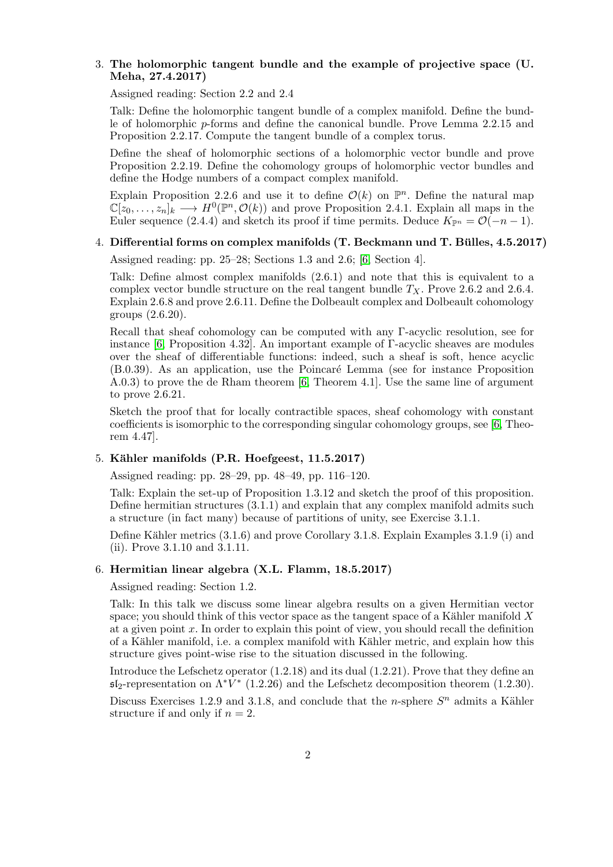## 3. The holomorphic tangent bundle and the example of projective space (U. Meha, 27.4.2017)

Assigned reading: Section 2.2 and 2.4

Talk: Define the holomorphic tangent bundle of a complex manifold. Define the bundle of holomorphic p-forms and define the canonical bundle. Prove Lemma 2.2.15 and Proposition 2.2.17. Compute the tangent bundle of a complex torus.

Define the sheaf of holomorphic sections of a holomorphic vector bundle and prove Proposition 2.2.19. Define the cohomology groups of holomorphic vector bundles and define the Hodge numbers of a compact complex manifold.

Explain Proposition 2.2.6 and use it to define  $\mathcal{O}(k)$  on  $\mathbb{P}^n$ . Define the natural map  $\mathbb{C}[z_0,\ldots,z_n]_k \longrightarrow H^0(\mathbb{P}^n,\mathcal{O}(k))$  and prove Proposition 2.4.1. Explain all maps in the Euler sequence (2.4.4) and sketch its proof if time permits. Deduce  $K_{\mathbb{P}^n} = \mathcal{O}(-n-1)$ .

# 4. Differential forms on complex manifolds  $(T. Beckmann$  und  $T. Bülles, 4.5.2017)$

Assigned reading: pp. 25–28; Sections 1.3 and 2.6; [\[6,](#page-4-1) Section 4].

Talk: Define almost complex manifolds (2.6.1) and note that this is equivalent to a complex vector bundle structure on the real tangent bundle  $T_X$ . Prove 2.6.2 and 2.6.4. Explain 2.6.8 and prove 2.6.11. Define the Dolbeault complex and Dolbeault cohomology groups (2.6.20).

Recall that sheaf cohomology can be computed with any Γ-acyclic resolution, see for instance [\[6,](#page-4-1) Proposition 4.32]. An important example of  $\Gamma$ -acyclic sheaves are modules over the sheaf of differentiable functions: indeed, such a sheaf is soft, hence acyclic (B.0.39). As an application, use the Poincar´e Lemma (see for instance Proposition A.0.3) to prove the de Rham theorem [\[6,](#page-4-1) Theorem 4.1]. Use the same line of argument to prove 2.6.21.

Sketch the proof that for locally contractible spaces, sheaf cohomology with constant coefficients is isomorphic to the corresponding singular cohomology groups, see [\[6,](#page-4-1) Theorem 4.47].

# $5.$  Kähler manifolds (P.R. Hoefgeest,  $11.5.2017$ )

Assigned reading: pp. 28–29, pp. 48–49, pp. 116–120.

Talk: Explain the set-up of Proposition 1.3.12 and sketch the proof of this proposition. Define hermitian structures (3.1.1) and explain that any complex manifold admits such a structure (in fact many) because of partitions of unity, see Exercise 3.1.1.

Define Kähler metrics (3.1.6) and prove Corollary 3.1.8. Explain Examples 3.1.9 (i) and (ii). Prove 3.1.10 and 3.1.11.

#### 6. Hermitian linear algebra (X.L. Flamm, 18.5.2017)

Assigned reading: Section 1.2.

Talk: In this talk we discuss some linear algebra results on a given Hermitian vector space; you should think of this vector space as the tangent space of a Kähler manifold  $X$ at a given point x. In order to explain this point of view, you should recall the definition of a Kähler manifold, i.e. a complex manifold with Kähler metric, and explain how this structure gives point-wise rise to the situation discussed in the following.

Introduce the Lefschetz operator (1.2.18) and its dual (1.2.21). Prove that they define an  $5I_2$ -representation on  $\Lambda^*V^*$  (1.2.26) and the Lefschetz decomposition theorem (1.2.30).

Discuss Exercises 1.2.9 and 3.1.8, and conclude that the *n*-sphere  $S<sup>n</sup>$  admits a Kähler structure if and only if  $n = 2$ .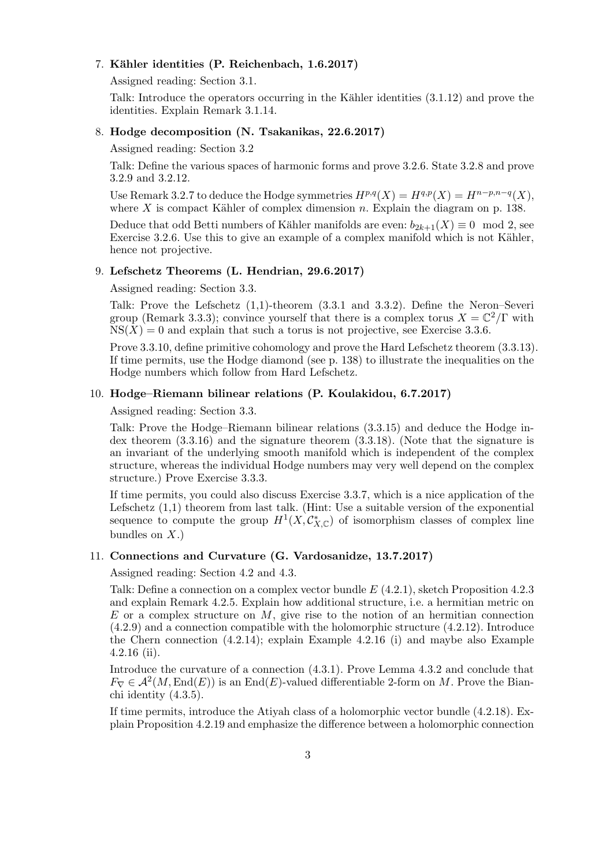## 7. Kähler identities (P. Reichenbach, 1.6.2017)

Assigned reading: Section 3.1.

Talk: Introduce the operators occurring in the Kähler identities  $(3.1.12)$  and prove the identities. Explain Remark 3.1.14.

## 8. Hodge decomposition (N. Tsakanikas, 22.6.2017)

Assigned reading: Section 3.2

Talk: Define the various spaces of harmonic forms and prove 3.2.6. State 3.2.8 and prove 3.2.9 and 3.2.12.

Use Remark 3.2.7 to deduce the Hodge symmetries  $H^{p,q}(X) = H^{q,p}(X) = H^{n-p,n-q}(X)$ , where  $X$  is compact Kähler of complex dimension n. Explain the diagram on p. 138.

Deduce that odd Betti numbers of Kähler manifolds are even:  $b_{2k+1}(X) \equiv 0 \mod 2$ , see Exercise 3.2.6. Use this to give an example of a complex manifold which is not Kähler, hence not projective.

### 9. Lefschetz Theorems (L. Hendrian, 29.6.2017)

Assigned reading: Section 3.3.

Talk: Prove the Lefschetz (1,1)-theorem (3.3.1 and 3.3.2). Define the Neron–Severi group (Remark 3.3.3); convince yourself that there is a complex torus  $X = \mathbb{C}^2/\Gamma$  with  $NS(X) = 0$  and explain that such a torus is not projective, see Exercise 3.3.6.

Prove 3.3.10, define primitive cohomology and prove the Hard Lefschetz theorem (3.3.13). If time permits, use the Hodge diamond (see p. 138) to illustrate the inequalities on the Hodge numbers which follow from Hard Lefschetz.

## 10. Hodge–Riemann bilinear relations (P. Koulakidou, 6.7.2017)

Assigned reading: Section 3.3.

Talk: Prove the Hodge–Riemann bilinear relations (3.3.15) and deduce the Hodge index theorem (3.3.16) and the signature theorem (3.3.18). (Note that the signature is an invariant of the underlying smooth manifold which is independent of the complex structure, whereas the individual Hodge numbers may very well depend on the complex structure.) Prove Exercise 3.3.3.

If time permits, you could also discuss Exercise 3.3.7, which is a nice application of the Lefschetz  $(1,1)$  theorem from last talk. (Hint: Use a suitable version of the exponential sequence to compute the group  $H^1(X, \mathcal{C}^*_{X,\mathbb{C}})$  of isomorphism classes of complex line bundles on  $X$ .)

### 11. Connections and Curvature (G. Vardosanidze, 13.7.2017)

Assigned reading: Section 4.2 and 4.3.

Talk: Define a connection on a complex vector bundle  $E(4.2.1)$ , sketch Proposition 4.2.3 and explain Remark 4.2.5. Explain how additional structure, i.e. a hermitian metric on E or a complex structure on M, give rise to the notion of an hermitian connection (4.2.9) and a connection compatible with the holomorphic structure (4.2.12). Introduce the Chern connection (4.2.14); explain Example 4.2.16 (i) and maybe also Example 4.2.16 (ii).

Introduce the curvature of a connection (4.3.1). Prove Lemma 4.3.2 and conclude that  $F_{\nabla} \in \mathcal{A}^2(M, \text{End}(E))$  is an End(E)-valued differentiable 2-form on M. Prove the Bianchi identity (4.3.5).

If time permits, introduce the Atiyah class of a holomorphic vector bundle (4.2.18). Explain Proposition 4.2.19 and emphasize the difference between a holomorphic connection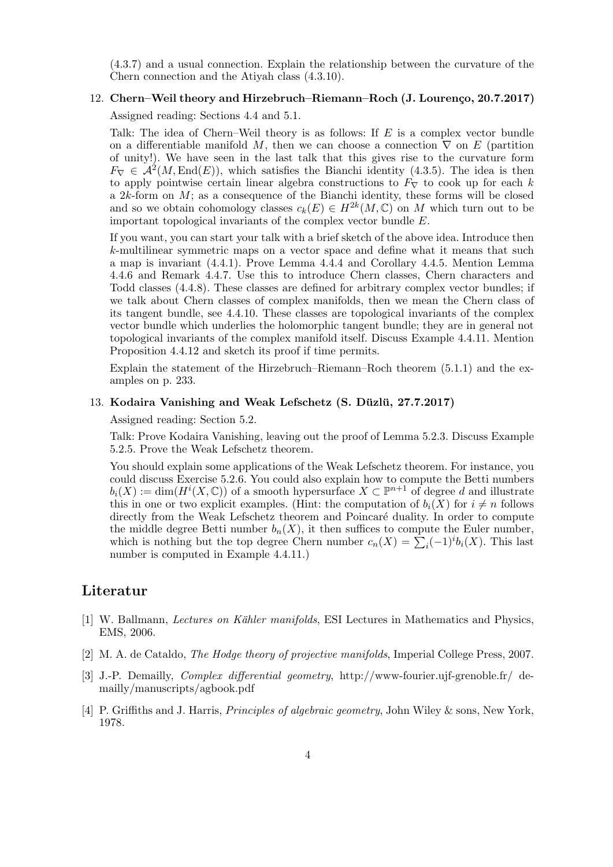(4.3.7) and a usual connection. Explain the relationship between the curvature of the Chern connection and the Atiyah class (4.3.10).

#### 12. Chern–Weil theory and Hirzebruch–Riemann–Roch (J. Lourenço, 20.7.2017)

Assigned reading: Sections 4.4 and 5.1.

Talk: The idea of Chern–Weil theory is as follows: If E is a complex vector bundle on a differentiable manifold M, then we can choose a connection  $\nabla$  on E (partition of unity!). We have seen in the last talk that this gives rise to the curvature form  $F_{\nabla} \in \mathcal{A}^2(M, \text{End}(E)),$  which satisfies the Bianchi identity (4.3.5). The idea is then to apply pointwise certain linear algebra constructions to  $F_{\nabla}$  to cook up for each k a  $2k$ -form on  $M$ ; as a consequence of the Bianchi identity, these forms will be closed and so we obtain cohomology classes  $c_k(E) \in H^{2k}(M,\mathbb{C})$  on M which turn out to be important topological invariants of the complex vector bundle E.

If you want, you can start your talk with a brief sketch of the above idea. Introduce then k-multilinear symmetric maps on a vector space and define what it means that such a map is invariant (4.4.1). Prove Lemma 4.4.4 and Corollary 4.4.5. Mention Lemma 4.4.6 and Remark 4.4.7. Use this to introduce Chern classes, Chern characters and Todd classes (4.4.8). These classes are defined for arbitrary complex vector bundles; if we talk about Chern classes of complex manifolds, then we mean the Chern class of its tangent bundle, see 4.4.10. These classes are topological invariants of the complex vector bundle which underlies the holomorphic tangent bundle; they are in general not topological invariants of the complex manifold itself. Discuss Example 4.4.11. Mention Proposition 4.4.12 and sketch its proof if time permits.

Explain the statement of the Hirzebruch–Riemann–Roch theorem (5.1.1) and the examples on p. 233.

### 13. Kodaira Vanishing and Weak Lefschetz (S. Düzlü, 27.7.2017)

Assigned reading: Section 5.2.

Talk: Prove Kodaira Vanishing, leaving out the proof of Lemma 5.2.3. Discuss Example 5.2.5. Prove the Weak Lefschetz theorem.

You should explain some applications of the Weak Lefschetz theorem. For instance, you could discuss Exercise 5.2.6. You could also explain how to compute the Betti numbers  $b_i(X) := \dim(H^i(X, \mathbb{C}))$  of a smooth hypersurface  $X \subset \mathbb{P}^{n+1}$  of degree d and illustrate this in one or two explicit examples. (Hint: the computation of  $b_i(X)$  for  $i \neq n$  follows directly from the Weak Lefschetz theorem and Poincaré duality. In order to compute the middle degree Betti number  $b_n(X)$ , it then suffices to compute the Euler number, which is nothing but the top degree Chern number  $c_n(X) = \sum_i (-1)^i b_i(X)$ . This last number is computed in Example 4.4.11.)

# Literatur

- <span id="page-3-0"></span>[1] W. Ballmann, *Lectures on Kähler manifolds*, ESI Lectures in Mathematics and Physics, EMS, 2006.
- <span id="page-3-1"></span>[2] M. A. de Cataldo, The Hodge theory of projective manifolds, Imperial College Press, 2007.
- <span id="page-3-2"></span>[3] J.-P. Demailly, Complex differential geometry, http://www-fourier.ujf-grenoble.fr/ demailly/manuscripts/agbook.pdf
- <span id="page-3-3"></span>[4] P. Griffiths and J. Harris, *Principles of algebraic geometry*, John Wiley & sons, New York, 1978.